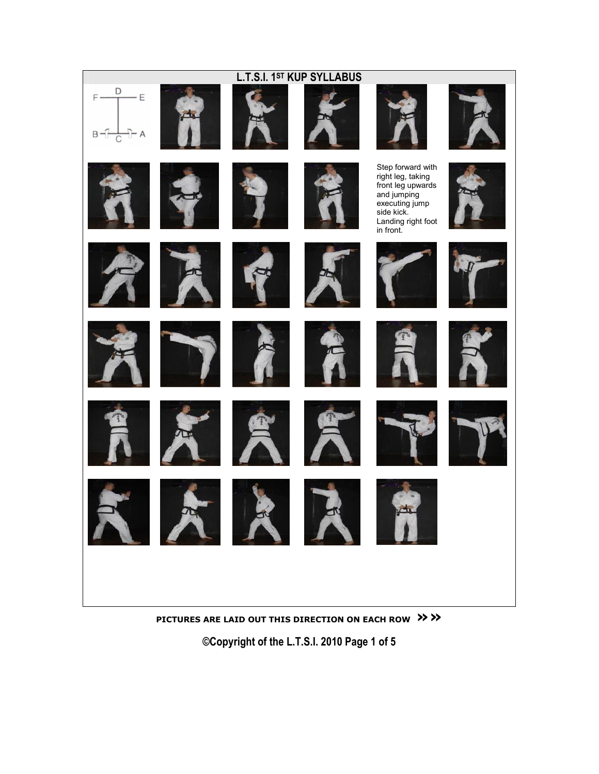

PICTURES ARE LAID OUT THIS DIRECTION ON EACH ROW >>>>

©Copyright of the L.T.S.I. 2010 Page 1 of 5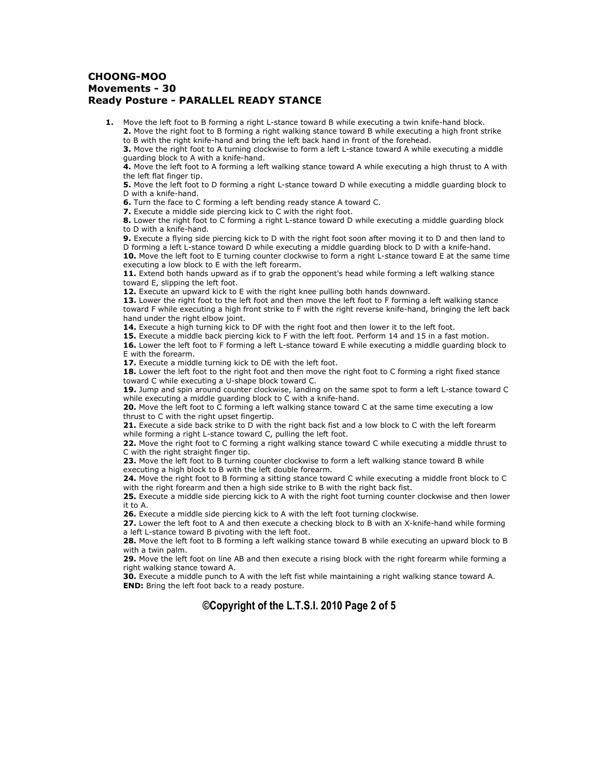## CHOONG-MOO Movements - 30 Ready Posture - PARALLEL READY STANCE

1. Move the left foot to B forming a right L-stance toward B while executing a twin knife-hand block.

2. Move the right foot to B forming a right walking stance toward B while executing a high front strike to B with the right knife-hand and bring the left back hand in front of the forehead.

3. Move the right foot to A turning clockwise to form a left L-stance toward A while executing a middle guarding block to A with a knife-hand.

4. Move the left foot to A forming a left walking stance toward A while executing a high thrust to A with the left flat finger tip.

**5.** Move the left foot to D forming a right L-stance toward D while executing a middle guarding block to D with a knife-hand.

6. Turn the face to C forming a left bending ready stance A toward C.

7. Execute a middle side piercing kick to C with the right foot.

8. Lower the right foot to C forming a right L-stance toward D while executing a middle guarding block to D with a knife-hand.

9. Execute a flying side piercing kick to D with the right foot soon after moving it to D and then land to D forming a left L-stance toward D while executing a middle guarding block to D with a knife-hand.

10. Move the left foot to E turning counter clockwise to form a right L-stance toward E at the same time executing a low block to E with the left forearm.

11. Extend both hands upward as if to grab the opponent's head while forming a left walking stance toward E, slipping the left foot.

12. Execute an upward kick to E with the right knee pulling both hands downward.

13. Lower the right foot to the left foot and then move the left foot to F forming a left walking stance toward F while executing a high front strike to F with the right reverse knife-hand, bringing the left back hand under the right elbow joint.

14. Execute a high turning kick to DF with the right foot and then lower it to the left foot.

15. Execute a middle back piercing kick to F with the left foot. Perform 14 and 15 in a fast motion. 16. Lower the left foot to F forming a left L-stance toward E while executing a middle guarding block to E with the forearm.

17. Execute a middle turning kick to DE with the left foot.

18. Lower the left foot to the right foot and then move the right foot to C forming a right fixed stance toward C while executing a U-shape block toward C.

19. Jump and spin around counter clockwise, landing on the same spot to form a left L-stance toward C while executing a middle guarding block to C with a knife-hand.

20. Move the left foot to C forming a left walking stance toward C at the same time executing a low thrust to C with the right upset fingertip.

21. Execute a side back strike to D with the right back fist and a low block to C with the left forearm while forming a right L-stance toward C, pulling the left foot.

22. Move the right foot to C forming a right walking stance toward C while executing a middle thrust to C with the right straight finger tip.

23. Move the left foot to B turning counter clockwise to form a left walking stance toward B while executing a high block to B with the left double forearm.

24. Move the right foot to B forming a sitting stance toward C while executing a middle front block to C with the right forearm and then a high side strike to B with the right back fist.

25. Execute a middle side piercing kick to A with the right foot turning counter clockwise and then lower it to A.

26. Execute a middle side piercing kick to A with the left foot turning clockwise.

27. Lower the left foot to A and then execute a checking block to B with an X-knife-hand while forming a left L-stance toward B pivoting with the left foot.

28. Move the left foot to B forming a left walking stance toward B while executing an upward block to B with a twin palm.

29. Move the left foot on line AB and then execute a rising block with the right forearm while forming a right walking stance toward A.

30. Execute a middle punch to A with the left fist while maintaining a right walking stance toward A. **END:** Bring the left foot back to a ready posture.

# ©Copyright of the L.T.S.I. 2010 Page 2 of 5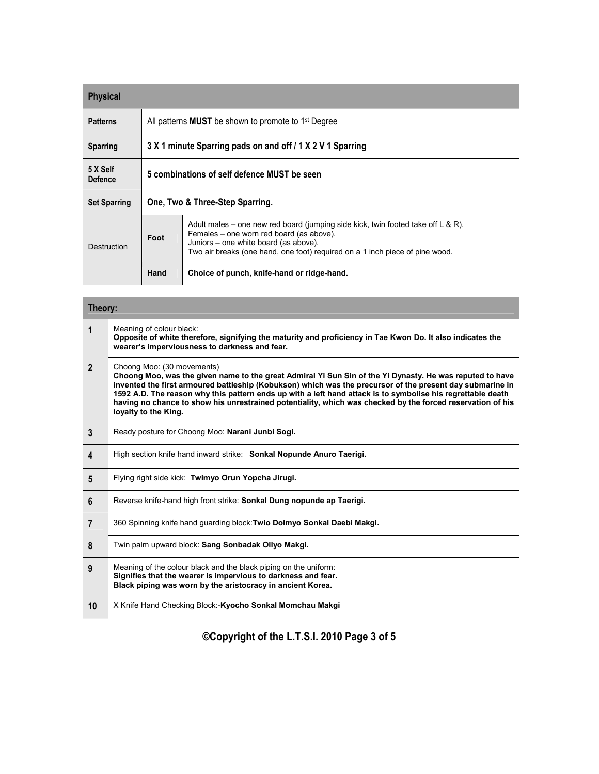| <b>Physical</b>            |                                                                        |                                                                                                                                                                                                                                                       |  |
|----------------------------|------------------------------------------------------------------------|-------------------------------------------------------------------------------------------------------------------------------------------------------------------------------------------------------------------------------------------------------|--|
| <b>Patterns</b>            | All patterns <b>MUST</b> be shown to promote to 1 <sup>st</sup> Degree |                                                                                                                                                                                                                                                       |  |
| <b>Sparring</b>            | 3 X 1 minute Sparring pads on and off / 1 X 2 V 1 Sparring             |                                                                                                                                                                                                                                                       |  |
| 5 X Self<br><b>Defence</b> | 5 combinations of self defence MUST be seen                            |                                                                                                                                                                                                                                                       |  |
| <b>Set Sparring</b>        | One, Two & Three-Step Sparring.                                        |                                                                                                                                                                                                                                                       |  |
| Destruction                | Foot                                                                   | Adult males – one new red board (jumping side kick, twin footed take off L & R).<br>Females – one worn red board (as above).<br>Juniors – one white board (as above).<br>Two air breaks (one hand, one foot) required on a 1 inch piece of pine wood. |  |
|                            | Hand                                                                   | Choice of punch, knife-hand or ridge-hand.                                                                                                                                                                                                            |  |

Г

ī

| Theory:        |                                                                                                                                                                                                                                                                                                                                                                                                                                                                                                          |  |  |
|----------------|----------------------------------------------------------------------------------------------------------------------------------------------------------------------------------------------------------------------------------------------------------------------------------------------------------------------------------------------------------------------------------------------------------------------------------------------------------------------------------------------------------|--|--|
| 1              | Meaning of colour black:<br>Opposite of white therefore, signifying the maturity and proficiency in Tae Kwon Do. It also indicates the<br>wearer's imperviousness to darkness and fear.                                                                                                                                                                                                                                                                                                                  |  |  |
| $\overline{2}$ | Choong Moo: (30 movements)<br>Choong Moo, was the given name to the great Admiral Yi Sun Sin of the Yi Dynasty. He was reputed to have<br>invented the first armoured battleship (Kobukson) which was the precursor of the present day submarine in<br>1592 A.D. The reason why this pattern ends up with a left hand attack is to symbolise his regrettable death<br>having no chance to show his unrestrained potentiality, which was checked by the forced reservation of his<br>loyalty to the King. |  |  |
| 3              | Ready posture for Choong Moo: Narani Junbi Sogi.                                                                                                                                                                                                                                                                                                                                                                                                                                                         |  |  |
| 4              | High section knife hand inward strike: Sonkal Nopunde Anuro Taerigi.                                                                                                                                                                                                                                                                                                                                                                                                                                     |  |  |
| 5              | Flying right side kick: Twimyo Orun Yopcha Jirugi.                                                                                                                                                                                                                                                                                                                                                                                                                                                       |  |  |
| 6              | Reverse knife-hand high front strike: Sonkal Dung nopunde ap Taerigi.                                                                                                                                                                                                                                                                                                                                                                                                                                    |  |  |
| $\overline{7}$ | 360 Spinning knife hand quarding block: Twio Dolmyo Sonkal Daebi Makgi.                                                                                                                                                                                                                                                                                                                                                                                                                                  |  |  |
| 8              | Twin palm upward block: Sang Sonbadak Ollyo Makgi.                                                                                                                                                                                                                                                                                                                                                                                                                                                       |  |  |
| 9              | Meaning of the colour black and the black piping on the uniform:<br>Signifies that the wearer is impervious to darkness and fear.<br>Black piping was worn by the aristocracy in ancient Korea.                                                                                                                                                                                                                                                                                                          |  |  |
| 10             | X Knife Hand Checking Block:-Kyocho Sonkal Momchau Makgi                                                                                                                                                                                                                                                                                                                                                                                                                                                 |  |  |

©Copyright of the L.T.S.I. 2010 Page 3 of 5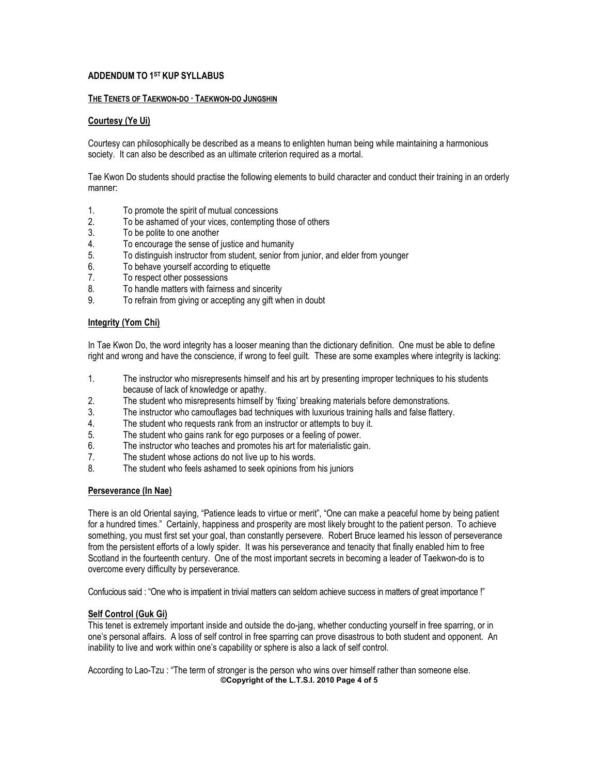## ADDENDUM TO 1ST KUP SYLLABUS

#### THE TENETS OF TAEKWON-DO · TAEKWON-DO JUNGSHIN

#### Courtesy (Ye Ui)

Courtesy can philosophically be described as a means to enlighten human being while maintaining a harmonious society. It can also be described as an ultimate criterion required as a mortal.

Tae Kwon Do students should practise the following elements to build character and conduct their training in an orderly manner:

- 
- 1. To promote the spirit of mutual concessions<br>2. To be ashamed of vour vices. contempting the To be ashamed of your vices, contempting those of others
- 3. To be polite to one another
- 4. To encourage the sense of justice and humanity
- 5. To distinguish instructor from student, senior from junior, and elder from younger
- 6. To behave yourself according to etiquette
- 7. To respect other possessions
- 8. To handle matters with fairness and sincerity
- 9. To refrain from giving or accepting any gift when in doubt

#### Integrity (Yom Chi)

In Tae Kwon Do, the word integrity has a looser meaning than the dictionary definition. One must be able to define right and wrong and have the conscience, if wrong to feel guilt. These are some examples where integrity is lacking:

- 1. The instructor who misrepresents himself and his art by presenting improper techniques to his students because of lack of knowledge or apathy.
- 2. The student who misrepresents himself by 'fixing' breaking materials before demonstrations.
- 3. The instructor who camouflages bad techniques with luxurious training halls and false flattery.
- 4. The student who requests rank from an instructor or attempts to buy it.
- 5. The student who gains rank for ego purposes or a feeling of power.
- 6. The instructor who teaches and promotes his art for materialistic gain.<br>7. The student whose actions do not live up to his words.
- The student whose actions do not live up to his words.
- 8. The student who feels ashamed to seek opinions from his juniors

## Perseverance (In Nae)

There is an old Oriental saying, "Patience leads to virtue or merit", "One can make a peaceful home by being patient for a hundred times." Certainly, happiness and prosperity are most likely brought to the patient person. To achieve something, you must first set your goal, than constantly persevere. Robert Bruce learned his lesson of perseverance from the persistent efforts of a lowly spider. It was his perseverance and tenacity that finally enabled him to free Scotland in the fourteenth century. One of the most important secrets in becoming a leader of Taekwon-do is to overcome every difficulty by perseverance.

Confucious said : "One who is impatient in trivial matters can seldom achieve success in matters of great importance !"

## Self Control (Guk Gi)

This tenet is extremely important inside and outside the do-jang, whether conducting yourself in free sparring, or in one's personal affairs. A loss of self control in free sparring can prove disastrous to both student and opponent. An inability to live and work within one's capability or sphere is also a lack of self control.

According to Lao-Tzu : "The term of stronger is the person who wins over himself rather than someone else. ©Copyright of the L.T.S.I. 2010 Page 4 of 5